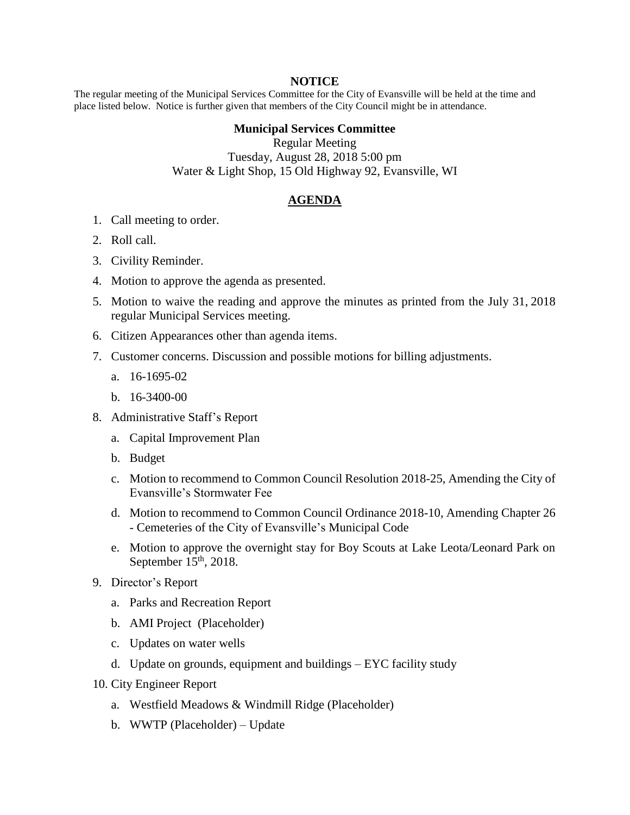## **NOTICE**

The regular meeting of the Municipal Services Committee for the City of Evansville will be held at the time and place listed below. Notice is further given that members of the City Council might be in attendance.

## **Municipal Services Committee**

Regular Meeting Tuesday, August 28, 2018 5:00 pm Water & Light Shop, 15 Old Highway 92, Evansville, WI

## **AGENDA**

- 1. Call meeting to order.
- 2. Roll call.
- 3. Civility Reminder.
- 4. Motion to approve the agenda as presented.
- 5. Motion to waive the reading and approve the minutes as printed from the July 31, 2018 regular Municipal Services meeting.
- 6. Citizen Appearances other than agenda items.
- 7. Customer concerns. Discussion and possible motions for billing adjustments.
	- a. 16-1695-02
	- b. 16-3400-00
- 8. Administrative Staff's Report
	- a. Capital Improvement Plan
	- b. Budget
	- c. Motion to recommend to Common Council Resolution 2018-25, Amending the City of Evansville's Stormwater Fee
	- d. Motion to recommend to Common Council Ordinance 2018-10, Amending Chapter 26 - Cemeteries of the City of Evansville's Municipal Code
	- e. Motion to approve the overnight stay for Boy Scouts at Lake Leota/Leonard Park on September  $15<sup>th</sup>$ , 2018.
- 9. Director's Report
	- a. Parks and Recreation Report
	- b. AMI Project (Placeholder)
	- c. Updates on water wells
	- d. Update on grounds, equipment and buildings EYC facility study
- 10. City Engineer Report
	- a. Westfield Meadows & Windmill Ridge (Placeholder)
	- b. WWTP (Placeholder) Update